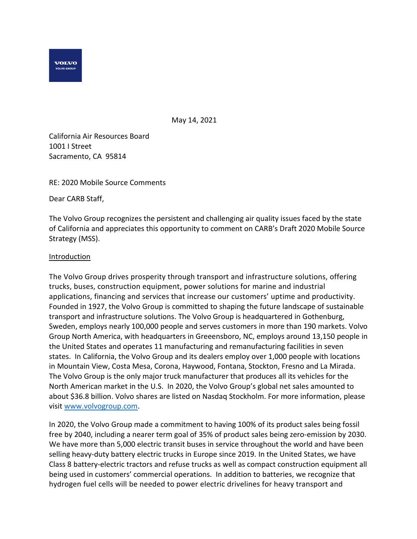

May 14, 2021

California Air Resources Board 1001 I Street Sacramento, CA 95814

RE: 2020 Mobile Source Comments

Dear CARB Staff,

The Volvo Group recognizes the persistent and challenging air quality issues faced by the state of California and appreciates this opportunity to comment on CARB's Draft 2020 Mobile Source Strategy (MSS).

## Introduction

The Volvo Group drives prosperity through transport and infrastructure solutions, offering trucks, buses, construction equipment, power solutions for marine and industrial applications, financing and services that increase our customers' uptime and productivity. Founded in 1927, the Volvo Group is committed to shaping the future landscape of sustainable transport and infrastructure solutions. The Volvo Group is headquartered in Gothenburg, Sweden, employs nearly 100,000 people and serves customers in more than 190 markets. Volvo Group North America, with headquarters in Greeensboro, NC, employs around 13,150 people in the United States and operates 11 manufacturing and remanufacturing facilities in seven states. In California, the Volvo Group and its dealers employ over 1,000 people with locations in Mountain View, Costa Mesa, Corona, Haywood, Fontana, Stockton, Fresno and La Mirada. The Volvo Group is the only major truck manufacturer that produces all its vehicles for the North American market in the U.S. In 2020, the Volvo Group's global net sales amounted to about \$36.8 billion. Volvo shares are listed on Nasdaq Stockholm. For more information, please visit [www.volvogroup.com.](http://www.volvogroup.com/)

In 2020, the Volvo Group made a commitment to having 100% of its product sales being fossil free by 2040, including a nearer term goal of 35% of product sales being zero-emission by 2030. We have more than 5,000 electric transit buses in service throughout the world and have been selling heavy-duty battery electric trucks in Europe since 2019. In the United States, we have Class 8 battery-electric tractors and refuse trucks as well as compact construction equipment all being used in customers' commercial operations. In addition to batteries, we recognize that hydrogen fuel cells will be needed to power electric drivelines for heavy transport and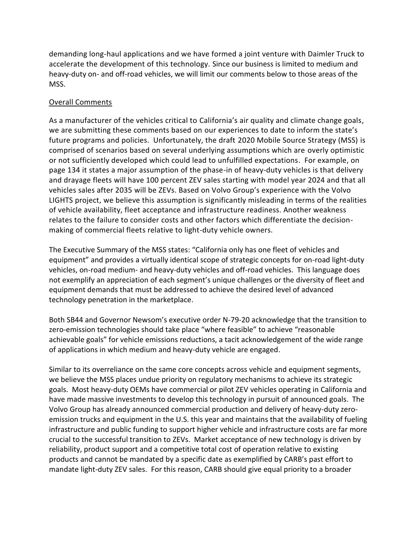demanding long-haul applications and we have formed a joint venture with Daimler Truck to accelerate the development of this technology. Since our business is limited to medium and heavy-duty on- and off-road vehicles, we will limit our comments below to those areas of the MSS.

## Overall Comments

As a manufacturer of the vehicles critical to California's air quality and climate change goals, we are submitting these comments based on our experiences to date to inform the state's future programs and policies. Unfortunately, the draft 2020 Mobile Source Strategy (MSS) is comprised of scenarios based on several underlying assumptions which are overly optimistic or not sufficiently developed which could lead to unfulfilled expectations. For example, on page 134 it states a major assumption of the phase-in of heavy-duty vehicles is that delivery and drayage fleets will have 100 percent ZEV sales starting with model year 2024 and that all vehicles sales after 2035 will be ZEVs. Based on Volvo Group's experience with the Volvo LIGHTS project, we believe this assumption is significantly misleading in terms of the realities of vehicle availability, fleet acceptance and infrastructure readiness. Another weakness relates to the failure to consider costs and other factors which differentiate the decisionmaking of commercial fleets relative to light-duty vehicle owners.

The Executive Summary of the MSS states: "California only has one fleet of vehicles and equipment" and provides a virtually identical scope of strategic concepts for on-road light-duty vehicles, on-road medium- and heavy-duty vehicles and off-road vehicles. This language does not exemplify an appreciation of each segment's unique challenges or the diversity of fleet and equipment demands that must be addressed to achieve the desired level of advanced technology penetration in the marketplace.

Both SB44 and Governor Newsom's executive order N-79-20 acknowledge that the transition to zero-emission technologies should take place "where feasible" to achieve "reasonable achievable goals" for vehicle emissions reductions, a tacit acknowledgement of the wide range of applications in which medium and heavy-duty vehicle are engaged.

Similar to its overreliance on the same core concepts across vehicle and equipment segments, we believe the MSS places undue priority on regulatory mechanisms to achieve its strategic goals. Most heavy-duty OEMs have commercial or pilot ZEV vehicles operating in California and have made massive investments to develop this technology in pursuit of announced goals. The Volvo Group has already announced commercial production and delivery of heavy-duty zeroemission trucks and equipment in the U.S. this year and maintains that the availability of fueling infrastructure and public funding to support higher vehicle and infrastructure costs are far more crucial to the successful transition to ZEVs. Market acceptance of new technology is driven by reliability, product support and a competitive total cost of operation relative to existing products and cannot be mandated by a specific date as exemplified by CARB's past effort to mandate light-duty ZEV sales. For this reason, CARB should give equal priority to a broader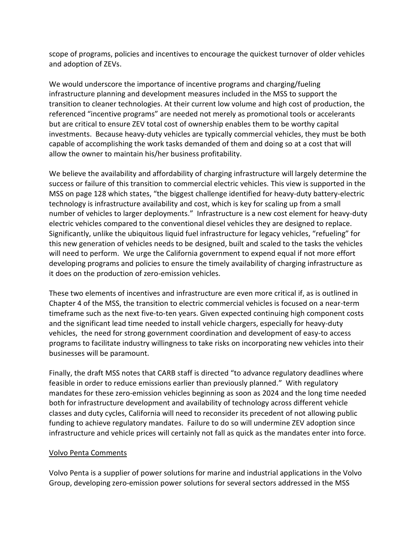scope of programs, policies and incentives to encourage the quickest turnover of older vehicles and adoption of ZEVs.

We would underscore the importance of incentive programs and charging/fueling infrastructure planning and development measures included in the MSS to support the transition to cleaner technologies. At their current low volume and high cost of production, the referenced "incentive programs" are needed not merely as promotional tools or accelerants but are critical to ensure ZEV total cost of ownership enables them to be worthy capital investments. Because heavy-duty vehicles are typically commercial vehicles, they must be both capable of accomplishing the work tasks demanded of them and doing so at a cost that will allow the owner to maintain his/her business profitability.

We believe the availability and affordability of charging infrastructure will largely determine the success or failure of this transition to commercial electric vehicles. This view is supported in the MSS on page 128 which states, "the biggest challenge identified for heavy-duty battery-electric technology is infrastructure availability and cost, which is key for scaling up from a small number of vehicles to larger deployments." Infrastructure is a new cost element for heavy-duty electric vehicles compared to the conventional diesel vehicles they are designed to replace. Significantly, unlike the ubiquitous liquid fuel infrastructure for legacy vehicles, "refueling" for this new generation of vehicles needs to be designed, built and scaled to the tasks the vehicles will need to perform. We urge the California government to expend equal if not more effort developing programs and policies to ensure the timely availability of charging infrastructure as it does on the production of zero-emission vehicles.

These two elements of incentives and infrastructure are even more critical if, as is outlined in Chapter 4 of the MSS, the transition to electric commercial vehicles is focused on a near-term timeframe such as the next five-to-ten years. Given expected continuing high component costs and the significant lead time needed to install vehicle chargers, especially for heavy-duty vehicles, the need for strong government coordination and development of easy-to access programs to facilitate industry willingness to take risks on incorporating new vehicles into their businesses will be paramount.

Finally, the draft MSS notes that CARB staff is directed "to advance regulatory deadlines where feasible in order to reduce emissions earlier than previously planned." With regulatory mandates for these zero-emission vehicles beginning as soon as 2024 and the long time needed both for infrastructure development and availability of technology across different vehicle classes and duty cycles, California will need to reconsider its precedent of not allowing public funding to achieve regulatory mandates. Failure to do so will undermine ZEV adoption since infrastructure and vehicle prices will certainly not fall as quick as the mandates enter into force.

## Volvo Penta Comments

Volvo Penta is a supplier of power solutions for marine and industrial applications in the Volvo Group, developing zero-emission power solutions for several sectors addressed in the MSS